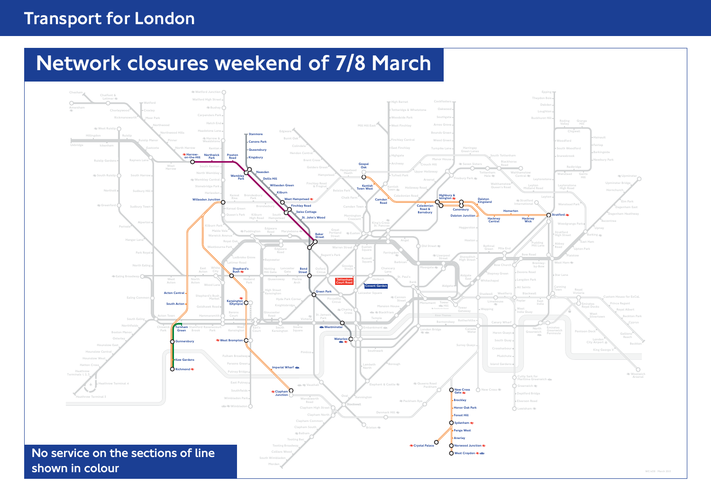## Transport for London

# Network closures weekend of 7/8 March

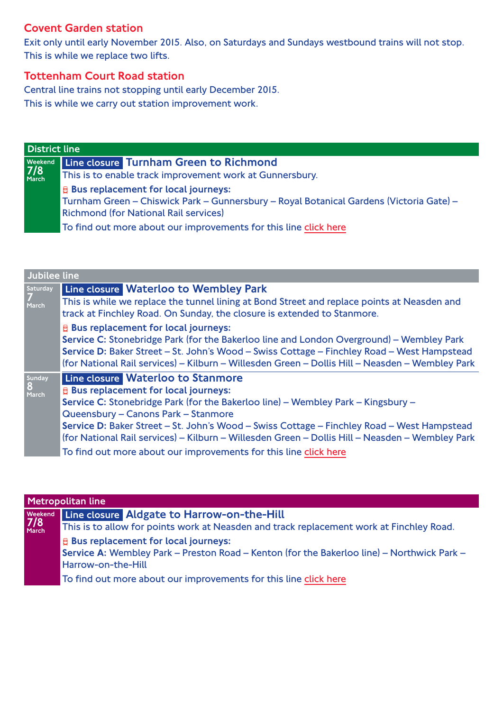### Covent Garden station

Exit only until early November 2015. Also, on Saturdays and Sundays westbound trains will not stop. This is while we replace two lifts.

#### Tottenham Court Road station

Central line trains not stopping until early December 2015. This is while we carry out station improvement work.

| <b>District line</b> |                                                                                                                                                                             |  |
|----------------------|-----------------------------------------------------------------------------------------------------------------------------------------------------------------------------|--|
|                      |                                                                                                                                                                             |  |
|                      | Weekend Line closure Turnham Green to Richmond<br>7/8<br>March This is to enable track improvement work at Gunr<br>This is to enable track improvement work at Gunnersbury. |  |
|                      | $\mathbf{\mathsf{B}}$ Bus replacement for local journeys:                                                                                                                   |  |
|                      | Turnham Green – Chiswick Park – Gunnersbury – Royal Botanical Gardens (Victoria Gate) –                                                                                     |  |
|                      | <b>Richmond (for National Rail services)</b>                                                                                                                                |  |
|                      | To find out more about our improvements for this line click here                                                                                                            |  |

| Jubilee line         |                                                                                                                                                                                                                                                                                                                                                                                                                                                                                   |  |
|----------------------|-----------------------------------------------------------------------------------------------------------------------------------------------------------------------------------------------------------------------------------------------------------------------------------------------------------------------------------------------------------------------------------------------------------------------------------------------------------------------------------|--|
| Saturday<br>March    | Line closure Waterloo to Wembley Park<br>This is while we replace the tunnel lining at Bond Street and replace points at Neasden and<br>track at Finchley Road. On Sunday, the closure is extended to Stanmore.                                                                                                                                                                                                                                                                   |  |
|                      | <b>E</b> Bus replacement for local journeys:<br>Service C: Stonebridge Park (for the Bakerloo line and London Overground) – Wembley Park<br>Service D: Baker Street - St. John's Wood - Swiss Cottage - Finchley Road - West Hampstead<br>(for National Rail services) - Kilburn - Willesden Green - Dollis Hill - Neasden - Wembley Park                                                                                                                                         |  |
| Sunday<br>8<br>March | Line closure Waterloo to Stanmore<br><b>E</b> Bus replacement for local journeys:<br>Service C: Stonebridge Park (for the Bakerloo line) – Wembley Park – Kingsbury –<br>Queensbury - Canons Park - Stanmore<br>Service D: Baker Street – St. John's Wood – Swiss Cottage – Finchley Road – West Hampstead<br>(for National Rail services) - Kilburn - Willesden Green - Dollis Hill - Neasden - Wembley Park<br>To find out more about our improvements for this line click here |  |

| Metropolitan line |                                                                                                                         |  |
|-------------------|-------------------------------------------------------------------------------------------------------------------------|--|
|                   | Weekend Line closure Aldgate to Harrow-on-the-Hill<br>7/8<br>March This is to allow for points work at Neasden and trac |  |
|                   | This is to allow for points work at Neasden and track replacement work at Finchley Road.                                |  |
|                   | <b>E</b> Bus replacement for local journeys:                                                                            |  |
|                   | Service A: Wembley Park - Preston Road - Kenton (for the Bakerloo line) - Northwick Park -                              |  |
|                   | Harrow-on-the-Hill                                                                                                      |  |
|                   | To find out more about our improvements for this line click here                                                        |  |